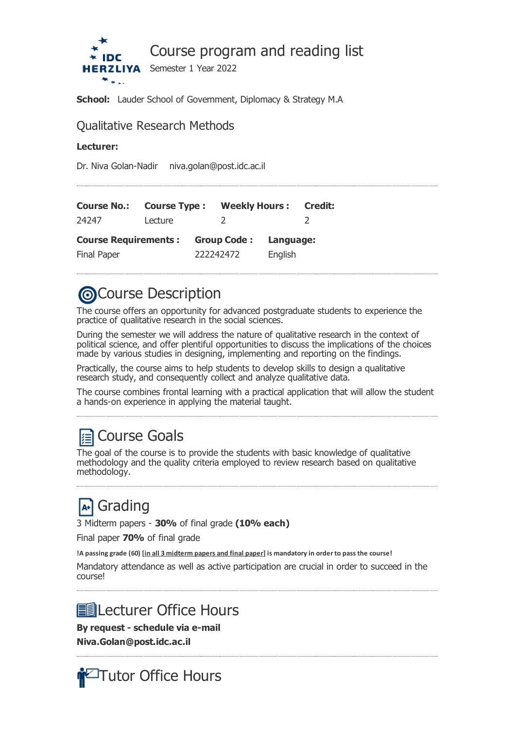

**School:** Lauder School of Government, Diplomacy & Strategy M.A

### Qualitative Research Methods

### **Lecturer:**

Dr. Niva Golan-Nadir niva.golan@post.idc.ac.il

| <b>Course No.:</b>          | <b>Course Type:</b> | <b>Weekly Hours: Credit:</b> |           |  |
|-----------------------------|---------------------|------------------------------|-----------|--|
| 24247                       | Lecture             |                              |           |  |
| <b>Course Requirements:</b> |                     |                              |           |  |
|                             |                     | <b>Group Code:</b>           | Language: |  |

### **@Course Description**

The course offers an opportunity for advanced postgraduate students to experience the practice of qualitative research in the social sciences.

During the semester we will address the nature of qualitative research in the context of political science, and offer plentiful opportunities to discuss the implications of the choices made by various studies in designing, implementing and reporting on the findings.

Practically, the course aims to help students to develop skills to design a qualitative research study, and consequently collect and analyze qualitative data.

The course combines frontal learning with a practical application that will allow the student a hands-on experience in applying the material taught.

## **E** Course Goals

The goal of the course is to provide the students with basic knowledge of qualitative methodology and the quality criteria employed to review research based on qualitative methodology.

# **I<sub>t<sup>h</sup>l Grading**</sub>

3 Midterm papers - **30%** of final grade **(10% each)**

Final paper **70%** of final grade

**!A passinggrade (60) [in all 3midterm papers and final paper] is mandatoryin order to pass the course!**

Mandatory attendance as well as active participation are crucial in order to succeed in the course!

### **■ Lecturer Office Hours**

**By request - schedule via e-mail Niva.Golan@post.idc.ac.il**

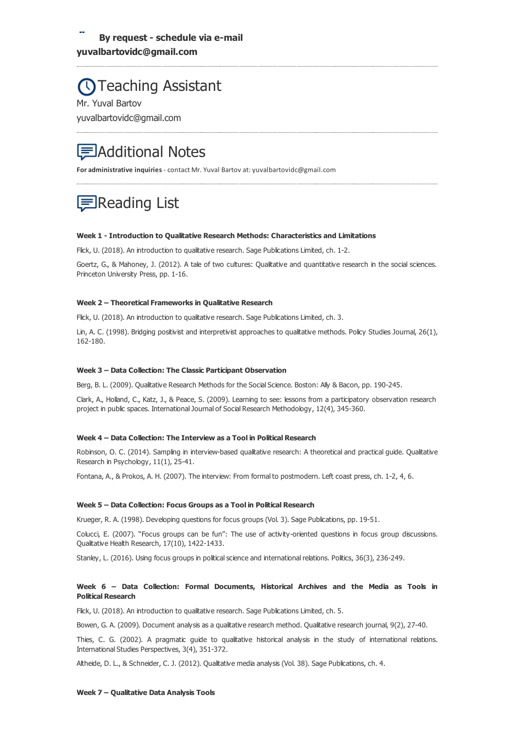### *ATeaching Assistant*

Mr. Yuval Bartov yuvalbartovidc@gmail.com

### Additional Notes

**For administrative inquiries** - contactMr.Yuval Bartovat:yuvalbartovidc@gmail.com

## Reading List

#### **Week 1 - Introduction to Qualitative Research Methods: Characteristics and Limitations**

Flick, U. (2018). An introduction to qualitative research. Sage Publications Limited, ch. 1-2.

Goertz, G., & Mahoney, J. (2012). A tale of two cultures: Qualitative and quantitative research in the social sciences. Princeton University Press, pp. 1-16.

#### **Week 2 – Theoretical Frameworks in Qualitative Research**

Flick, U. (2018). An introduction to qualitative research. Sage Publications Limited, ch. 3.

Lin, A. C. (1998). Bridging positivist and interpretivist approaches to qualitative methods. Policy Studies Journal, 26(1), 162-180.

#### **Week 3 – Data Collection: The Classic Participant Observation**

Berg, B. L. (2009). Qualitative Research Methods for the Social Science. Boston: Ally & Bacon, pp. 190-245.

Clark, A., Holland, C., Katz, J., & Peace, S. (2009). Learning to see: lessons from a participatory observation research project in public spaces. International Journal of Social Research Methodology, 12(4), 345-360.

#### **Week 4 – Data Collection: The Interview as a Tool in Political Research**

Robinson, O. C. (2014). Sampling in interview-based qualitative research: A theoretical and practical quide. Qualitative Research in Psychology, 11(1), 25-41.

Fontana, A., & Prokos, A. H. (2007). The interview: From formal to postmodern. Left coast press, ch. 1-2, 4, 6.

#### **Week 5 – Data Collection: Focus Groups as a Tool in Political Research**

Krueger, R. A. (1998). Developing questions for focus groups (Vol. 3). Sage Publications, pp. 19-51.

Colucci, E. (2007). "Focus groups can be fun": The use of activity-oriented questions in focus group discussions. Qualitative Health Research, 17(10), 1422-1433.

Stanley, L. (2016). Using focus groups in political science and international relations. Politics, 36(3), 236-249.

#### **Week 6 – Data Collection: Formal Documents, Historical Archives and the Media as Tools in Political Research**

Flick, U. (2018). An introduction to qualitative research. Sage Publications Limited, ch. 5.

Bowen, G. A. (2009). Document analysis as a qualitative research method. Qualitative research journal, 9(2), 27-40.

Thies, C. G. (2002). A pragmatic quide to qualitative historical analysis in the study of international relations. International Studies Perspectives, 3(4), 351-372.

Altheide, D. L., & Schneider, C. J. (2012). Qualitative media analysis (Vol. 38). Sage Publications, ch. 4.